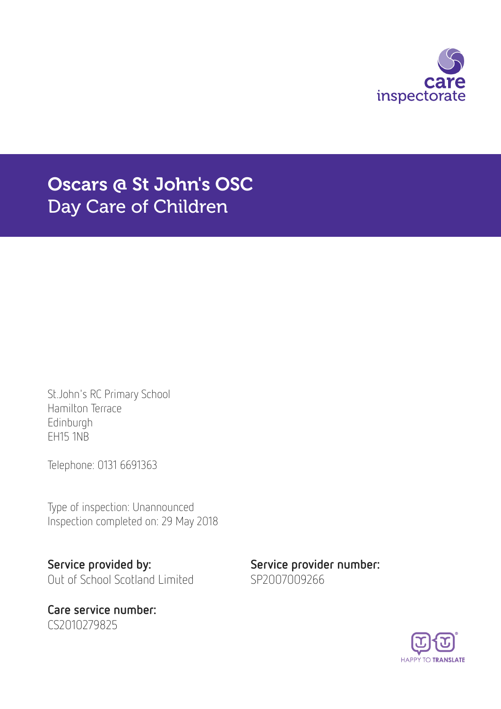

# Oscars @ St John's OSC Day Care of Children

St.John's RC Primary School Hamilton Terrace Edinburgh EH15 1NB

Telephone: 0131 6691363

Type of inspection: Unannounced Inspection completed on: 29 May 2018

Service provided by: Service provider number: Out of School Scotland Limited SP2007009266

Care service number: CS2010279825

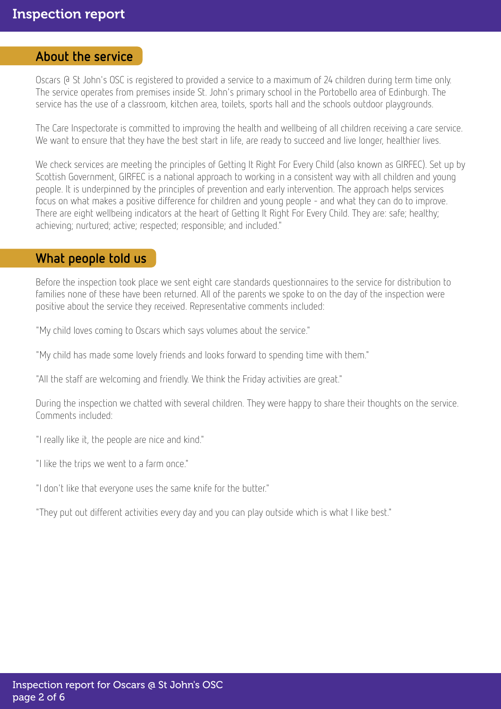### About the service

Oscars @ St John's OSC is registered to provided a service to a maximum of 24 children during term time only. The service operates from premises inside St. John's primary school in the Portobello area of Edinburgh. The service has the use of a classroom, kitchen area, toilets, sports hall and the schools outdoor playgrounds.

The Care Inspectorate is committed to improving the health and wellbeing of all children receiving a care service. We want to ensure that they have the best start in life, are ready to succeed and live longer, healthier lives.

We check services are meeting the principles of Getting It Right For Every Child (also known as GIRFEC). Set up by Scottish Government, GIRFEC is a national approach to working in a consistent way with all children and young people. It is underpinned by the principles of prevention and early intervention. The approach helps services focus on what makes a positive difference for children and young people - and what they can do to improve. There are eight wellbeing indicators at the heart of Getting It Right For Every Child. They are: safe; healthy; achieving; nurtured; active; respected; responsible; and included."

# What people told us

Before the inspection took place we sent eight care standards questionnaires to the service for distribution to families none of these have been returned. All of the parents we spoke to on the day of the inspection were positive about the service they received. Representative comments included:

"My child loves coming to Oscars which says volumes about the service."

"My child has made some lovely friends and looks forward to spending time with them."

"All the staff are welcoming and friendly. We think the Friday activities are great."

During the inspection we chatted with several children. They were happy to share their thoughts on the service. Comments included:

"I really like it, the people are nice and kind."

"I like the trips we went to a farm once."

"I don't like that everyone uses the same knife for the butter."

"They put out different activities every day and you can play outside which is what I like best."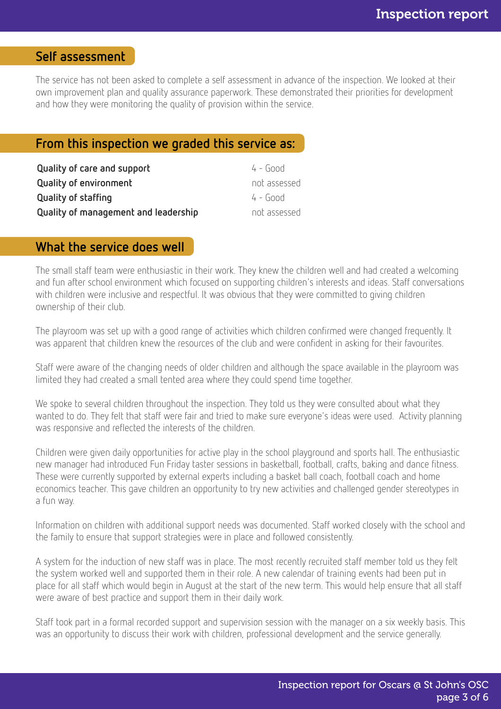# Self assessment

The service has not been asked to complete a self assessment in advance of the inspection. We looked at their own improvement plan and quality assurance paperwork. These demonstrated their priorities for development and how they were monitoring the quality of provision within the service.

### From this inspection we graded this service as:

| Quality of care and support          | $4 - 600d$   |
|--------------------------------------|--------------|
| <b>Quality of environment</b>        | not assessed |
| <b>Quality of staffing</b>           | 4 - Good     |
| Quality of management and leadership | not assessed |

#### What the service does well

The small staff team were enthusiastic in their work. They knew the children well and had created a welcoming and fun after school environment which focused on supporting children's interests and ideas. Staff conversations with children were inclusive and respectful. It was obvious that they were committed to giving children ownership of their club.

The playroom was set up with a good range of activities which children confirmed were changed frequently. It was apparent that children knew the resources of the club and were confident in asking for their favourites.

Staff were aware of the changing needs of older children and although the space available in the playroom was limited they had created a small tented area where they could spend time together.

We spoke to several children throughout the inspection. They told us they were consulted about what they wanted to do. They felt that staff were fair and tried to make sure everyone's ideas were used. Activity planning was responsive and reflected the interests of the children.

Children were given daily opportunities for active play in the school playground and sports hall. The enthusiastic new manager had introduced Fun Friday taster sessions in basketball, football, crafts, baking and dance fitness. These were currently supported by external experts including a basket ball coach, football coach and home economics teacher. This gave children an opportunity to try new activities and challenged gender stereotypes in a fun way.

Information on children with additional support needs was documented. Staff worked closely with the school and the family to ensure that support strategies were in place and followed consistently.

A system for the induction of new staff was in place. The most recently recruited staff member told us they felt the system worked well and supported them in their role. A new calendar of training events had been put in place for all staff which would begin in August at the start of the new term. This would help ensure that all staff were aware of best practice and support them in their daily work.

Staff took part in a formal recorded support and supervision session with the manager on a six weekly basis. This was an opportunity to discuss their work with children, professional development and the service generally.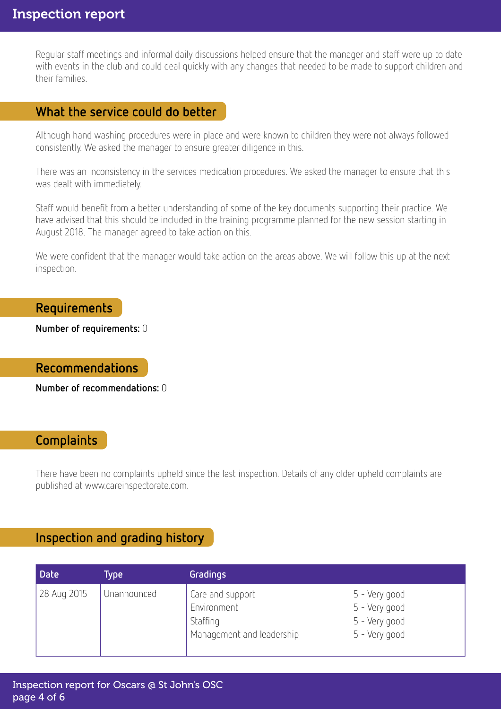Regular staff meetings and informal daily discussions helped ensure that the manager and staff were up to date with events in the club and could deal quickly with any changes that needed to be made to support children and their families.

## What the service could do better

Although hand washing procedures were in place and were known to children they were not always followed consistently. We asked the manager to ensure greater diligence in this.

There was an inconsistency in the services medication procedures. We asked the manager to ensure that this was dealt with immediately.

Staff would benefit from a better understanding of some of the key documents supporting their practice. We have advised that this should be included in the training programme planned for the new session starting in August 2018. The manager agreed to take action on this.

We were confident that the manager would take action on the areas above. We will follow this up at the next inspection.

#### Requirements

Number of requirements: 0

Recommendations

Number of recommendations: 0

### **Complaints**

There have been no complaints upheld since the last inspection. Details of any older upheld complaints are published at www.careinspectorate.com.

## Inspection and grading history

| <b>Date</b> | Туре        | Gradings                                                                 |                                                                  |
|-------------|-------------|--------------------------------------------------------------------------|------------------------------------------------------------------|
| 28 Aug 2015 | Unannounced | Care and support<br>Environment<br>Staffing<br>Management and leadership | 5 - Very good<br>5 - Very good<br>5 - Very good<br>5 - Very good |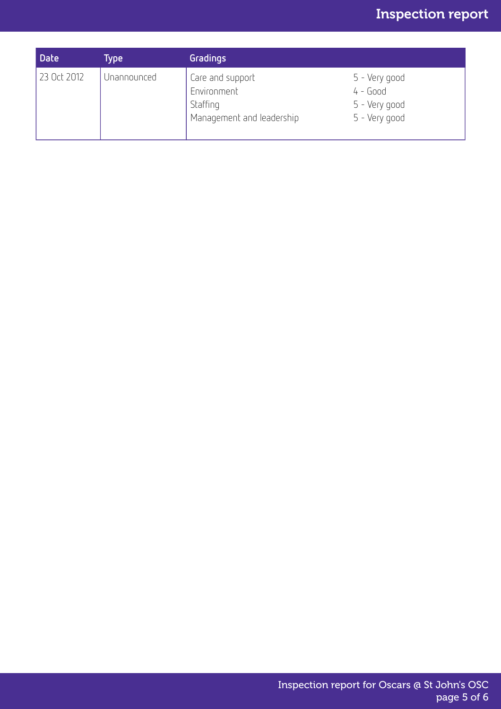# Inspection report

| <b>Date</b> | <b>Type</b> | Gradings                                                                 |                                                               |
|-------------|-------------|--------------------------------------------------------------------------|---------------------------------------------------------------|
| 23 Oct 2012 | Unannounced | Care and support<br>Environment<br>Staffing<br>Management and leadership | 5 - Very good<br>$4 - Good$<br>5 - Very good<br>5 - Very good |